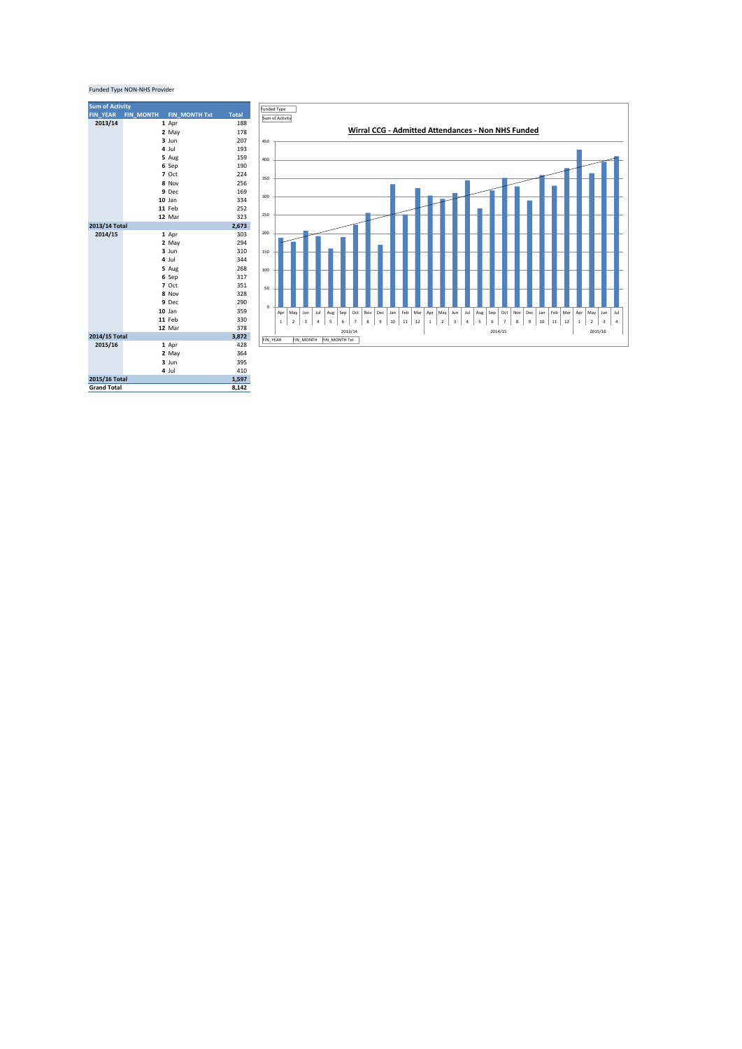## Funded Type NON-NHS Provider

| <b>Sum of Activity</b> |                  |                      |              |
|------------------------|------------------|----------------------|--------------|
| <b>FIN YEAR</b>        | <b>FIN MONTH</b> | <b>FIN_MONTH Txt</b> | <b>Total</b> |
| 2013/14                |                  | 1 Apr                | 188          |
|                        |                  | 2 May                | 178          |
|                        |                  | $3$ Jun              | 207          |
|                        |                  | 4 Jul                | 193          |
|                        |                  | 5 Aug                | 159          |
|                        |                  | 6 Sep                | 190          |
|                        |                  | 7 Oct                | 224          |
|                        |                  | 8 Nov                | 256          |
|                        |                  | 9 Dec                | 169          |
|                        |                  | $10$ Jan             | 334          |
|                        |                  | 11 Feb               | 252          |
|                        |                  | 12 Mar               | 323          |
| 2013/14 Total          |                  |                      | 2,673        |
| 2014/15                |                  | 1 Apr                | 303          |
|                        |                  | 2 May                | 294          |
|                        |                  | $3$ Jun              | 310          |
|                        |                  | 4 Jul                | 344          |
|                        |                  | 5 Aug                | 268          |
|                        |                  | 6 Sep                | 317          |
|                        |                  | 7 Oct                | 351          |
|                        |                  | 8 Nov                | 328          |
|                        |                  | 9 Dec                | 290          |
|                        |                  | $10$ Jan             | 359          |
|                        |                  | 11 Feb               | 330          |
|                        |                  | 12 Mar               | 378          |
| 2014/15 Total          |                  |                      | 3,872        |
| 2015/16                |                  | 1 Apr                | 428          |
|                        |                  | 2 May                | 364          |
|                        |                  | $3$ Jun              | 395          |
|                        |                  | 4 Jul                | 410          |
| 2015/16 Total<br>1,597 |                  |                      |              |
| <b>Grand Total</b>     |                  |                      | 8,142        |

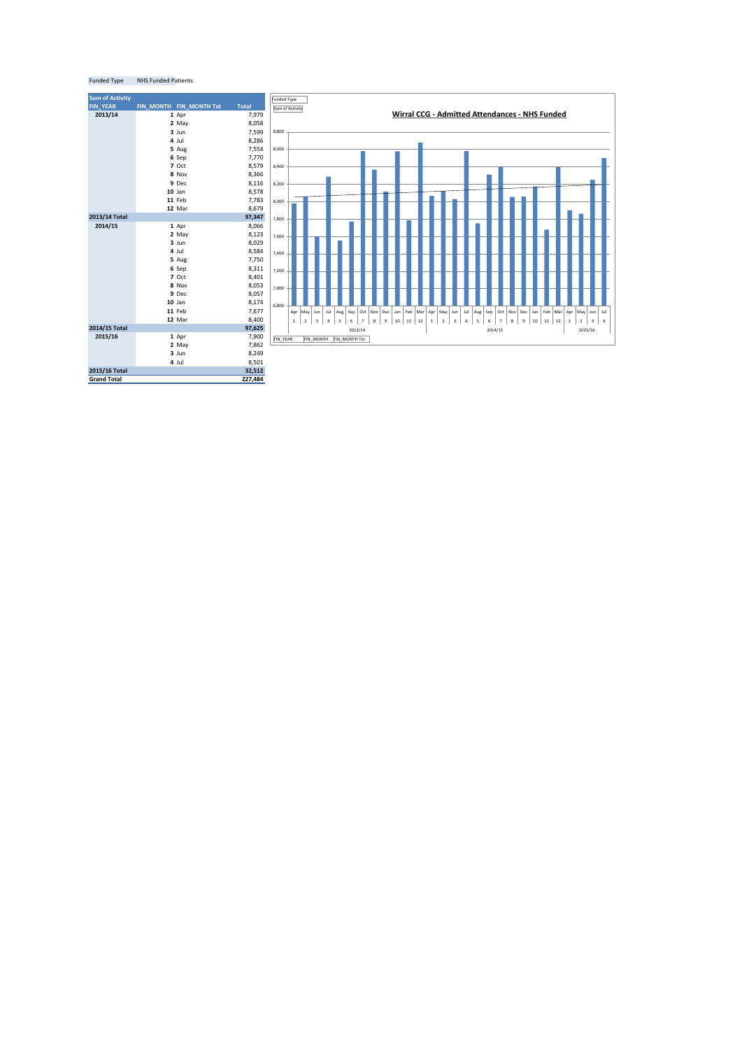| <b>Sum of Activity</b> |                         |              |
|------------------------|-------------------------|--------------|
| <b>FIN YEAR</b>        | FIN MONTH FIN MONTH Txt | <b>Total</b> |
| 2013/14                | 1 Apr                   | 7,979        |
|                        | 2 May                   | 8,058        |
|                        | $3$ Jun                 | 7,599        |
|                        | 4 Jul                   | 8,286        |
|                        | 5 Aug                   | 7,554        |
|                        | 6 Sep                   | 7,770        |
|                        | 7 Oct                   | 8,579        |
|                        | 8 Nov                   | 8,366        |
|                        | 9 Dec                   | 8,116        |
|                        | $10$ Jan                | 8,578        |
|                        | 11 Feb                  | 7,783        |
|                        | 12 Mar                  | 8,679        |
| 2013/14 Total          |                         | 97,347       |
| 2014/15                | 1 Apr                   | 8,066        |
|                        | 2 May                   | 8,123        |
|                        | $3$ Jun                 | 8,029        |
|                        | $4$ Jul                 | 8,584        |
|                        | 5 Aug                   | 7,750        |
|                        | 6 Sep                   | 8,311        |
|                        | 7 Oct                   | 8,401        |
|                        | 8 Nov                   | 8,053        |
|                        | 9 Dec                   | 8,057        |
|                        | $10$ Jan                | 8,174        |
|                        | 11 Feb                  | 7,677        |
|                        | 12 Mar                  | 8,400        |
| 2014/15 Total          |                         | 97,625       |
| 2015/16                | 1 Apr                   | 7,900        |
|                        | 2 May                   | 7,862        |
|                        | $3$ Jun                 | 8,249        |
|                        | 4 Jul                   | 8,501        |
| 2015/16 Total          |                         | 32,512       |
| <b>Grand Total</b>     |                         | 227,484      |



## Funded Type NHS Funded Patients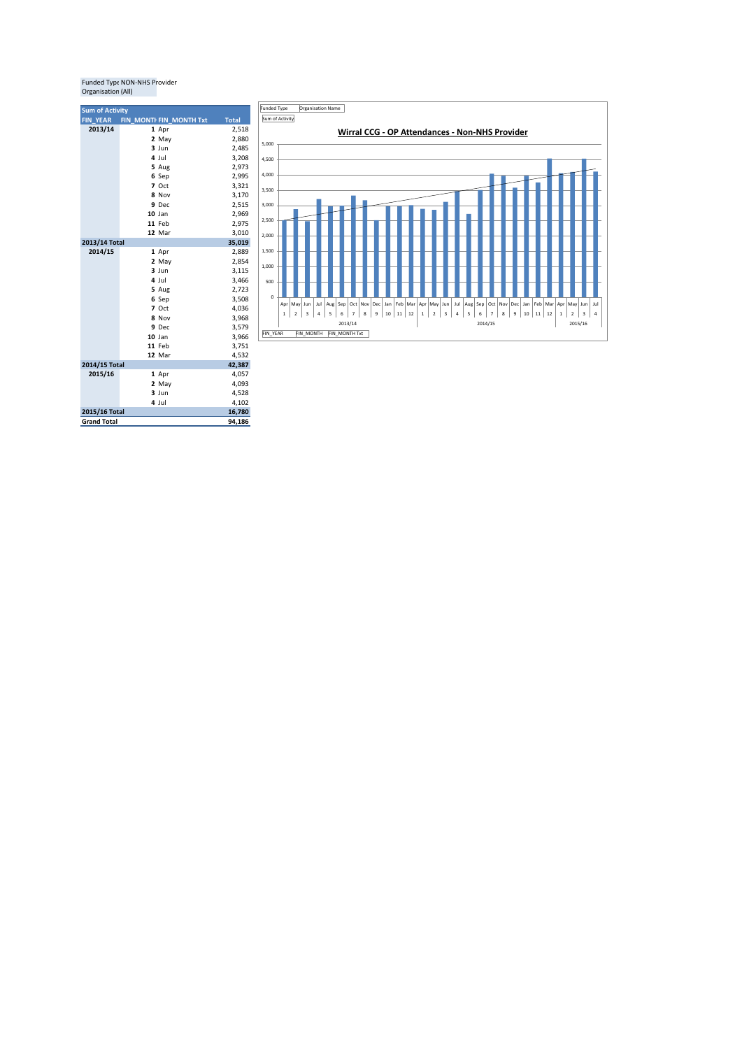## Funded Type NON-NHS Provider<br>Organisation (All)

| <b>Sum of Activity</b>              |                         |              |
|-------------------------------------|-------------------------|--------------|
| <b>FIN YEAR</b>                     | FIN MONTI FIN MONTH Txt | <b>Total</b> |
| 2013/14                             | 1 Apr                   | 2,518        |
|                                     | 2 May                   | 2,880        |
|                                     | $3$ Jun                 | 2,485        |
|                                     | 4 Jul                   | 3,208        |
|                                     | 5 Aug                   | 2,973        |
|                                     | 6 Sep                   | 2,995        |
|                                     | 7 Oct                   | 3,321        |
|                                     | 8 Nov                   | 3,170        |
|                                     | 9 Dec                   | 2,515        |
|                                     | $10$ Jan                | 2,969        |
|                                     | 11 Feb                  | 2,975        |
|                                     | 12 Mar                  | 3,010        |
| 2013/14 Total                       |                         | 35,019       |
| 2014/15                             | 1 Apr                   | 2,889        |
|                                     | 2 May                   | 2,854        |
|                                     | $3$ Jun                 | 3,115        |
|                                     | 4 Jul                   | 3,466        |
|                                     | 5 Aug                   | 2,723        |
|                                     | 6 Sep                   | 3,508        |
|                                     | 7 Oct                   | 4,036        |
|                                     | 8 Nov                   | 3,968        |
|                                     | 9 Dec                   | 3,579        |
|                                     | $10$ Jan                | 3,966        |
|                                     | 11 Feb                  | 3,751        |
|                                     | 12 Mar                  | 4,532        |
| 2014/15 Total                       |                         | 42,387       |
| 2015/16                             | 1 Apr                   | 4,057        |
|                                     | 2 May                   | 4,093        |
|                                     | $3$ Jun                 | 4,528        |
|                                     | 4 Jul                   | 4,102        |
| 2015/16 Total<br><b>Grand Total</b> |                         | 16,780       |
|                                     |                         | 94,186       |

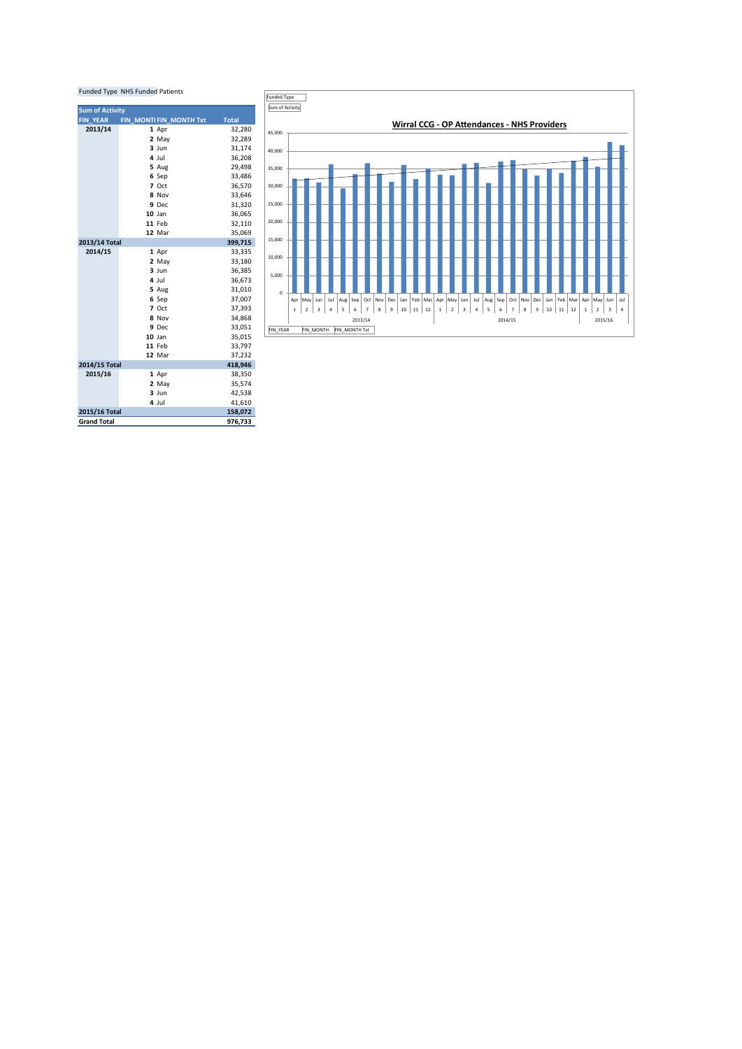| <b>Funded Type NHS Funded Patients</b> |                         |              |
|----------------------------------------|-------------------------|--------------|
| <b>Sum of Activity</b>                 |                         |              |
| <b>FIN YEAR</b>                        | FIN MONTI FIN MONTH Txt | <b>Total</b> |
| 2013/14                                | 1 Apr                   | 32,280       |
|                                        | 2 May                   | 32,289       |
|                                        | $3$ Jun                 | 31,174       |
|                                        | 4 Jul                   | 36,208       |
|                                        | 5 Aug                   | 29,498       |
|                                        | 6 Sep                   | 33,486       |
|                                        | 7 Oct                   | 36,570       |
|                                        | 8 Nov                   | 33,646       |
|                                        | 9 Dec                   | 31,320       |
|                                        | $10$ Jan                | 36,065       |
|                                        | 11 Feb                  | 32,110       |
|                                        | 12 Mar                  | 35,069       |
| 2013/14 Total<br>399,715               |                         |              |
| 2014/15                                | 1 Apr                   | 33,335       |
|                                        | 2 May                   | 33,180       |
|                                        | $3$ Jun                 | 36.385       |
|                                        | 4 Jul                   | 36,673       |
|                                        | 5 Aug                   | 31,010       |
|                                        | 6 Sep                   | 37,007       |
|                                        | 7 Oct                   | 37,393       |
|                                        | 8 Nov                   | 34.868       |
|                                        | 9 Dec                   | 33,051       |
|                                        | $10$ Jan                | 35,015       |
|                                        | 11 Feb                  | 33,797       |
|                                        | 12 Mar                  | 37,232       |
| 2014/15 Total                          |                         | 418,946      |
| 2015/16                                | 1 Apr                   | 38,350       |
|                                        | 2 May                   | 35,574       |
|                                        | $3$ Jun                 | 42,538       |
|                                        | 4 Jul                   | 41,610       |
| 2015/16 Total                          |                         | 158,072      |
| <b>Grand Total</b>                     |                         | 976,733      |

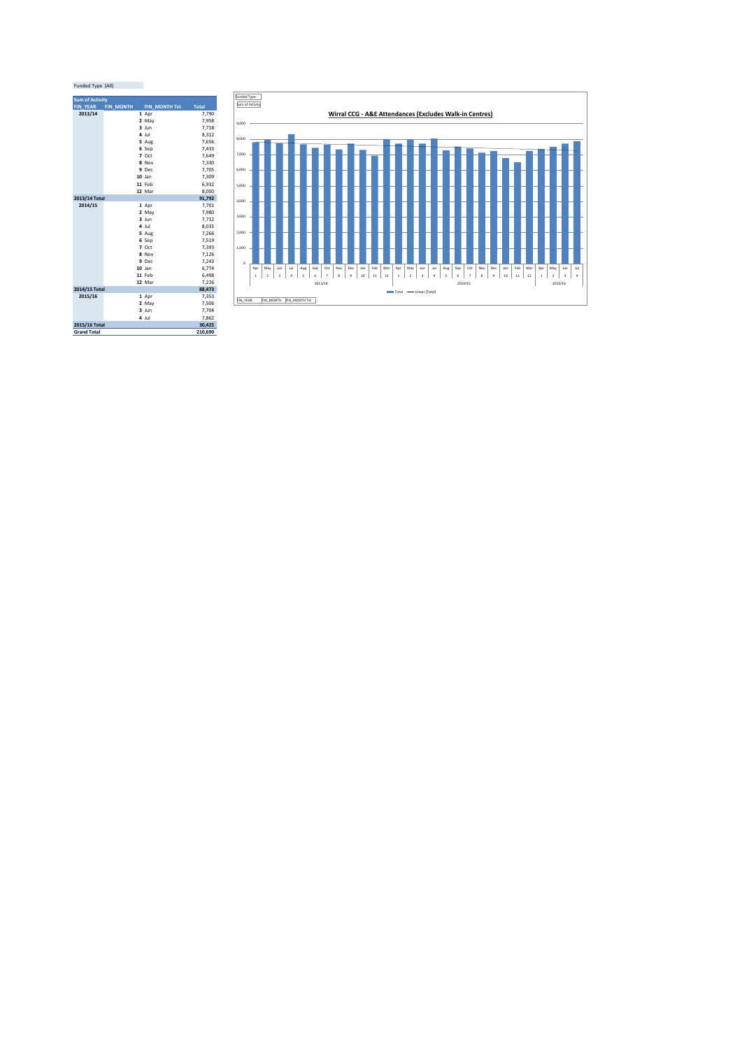| Funded Type (All) |  |
|-------------------|--|

| <b>Sum of Activity</b> |                  |                 |              |
|------------------------|------------------|-----------------|--------------|
| <b>FIN YEAR</b>        | <b>FIN_MONTH</b> | FIN MONTH Txt   | <b>Total</b> |
| 2013/14                |                  | 1 Apr           | 7.790        |
|                        |                  | 2 May           | 7,958        |
|                        |                  | $3$ Jun         | 7,718        |
|                        |                  | 4 Jul           | 8,312        |
|                        |                  | 5 Aug           | 7,656        |
|                        |                  | 6 Sep           | 7,433        |
|                        |                  | 7 Oct           | 7,649        |
|                        |                  | 8 Nov           | 7,330        |
|                        |                  | 9 Dec           | 7,705        |
|                        |                  | $10$ Jan        | 7,309        |
|                        |                  | 11 Feb          | 6.932        |
|                        |                  | 12 Mar          | 8.000        |
| 2013/14 Total          |                  |                 | 91,792       |
| 2014/15                |                  | 1 Apr           | 7,701        |
|                        |                  | 2 May           | 7,980        |
|                        |                  | $3 \text{ lun}$ | 7,712        |
|                        |                  | 4 Jul           | 8,035        |
|                        |                  | 5 Aug           | 7,266        |
|                        |                  | 6 Sep           | 7,519        |
|                        |                  | $7$ Oct         | 7,393        |
|                        |                  | 8 Nov           | 7,126        |
|                        |                  | 9 Dec           | 7.243        |
|                        |                  | $10$ Jan        | 6.774        |
|                        |                  | 11 Feb          | 6,498        |
|                        |                  | 12 Mar          | 7,226        |
| 2014/15 Total          |                  |                 | 88,473       |
| 2015/16                |                  | 1 Apr           | 7,353        |
|                        |                  | 2 May           | 7,506        |
|                        |                  | $3 \text{ lun}$ | 7,704        |
|                        |                  | 4 Jul           | 7,862        |
| 2015/16 Total          |                  |                 | 30,425       |
| <b>Grand Total</b>     |                  |                 | 210.690      |